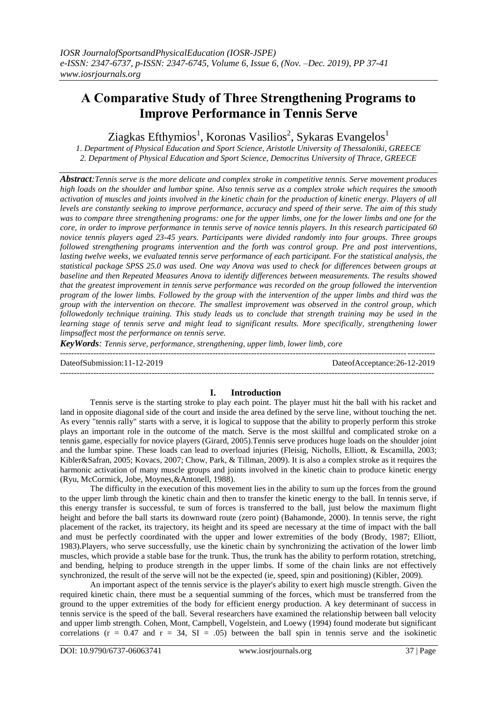# **Α Comparative Study of Three Strengthening Programs to Improve Performance in Tennis Serve**

Ziagkas Efthymios<sup>1</sup>, Koronas Vasilios<sup>2</sup>, Sykaras Evangelos<sup>1</sup>

*1. Department of Physical Education and Sport Science, Aristotle University of Thessaloniki, GREECE 2. Department of Physical Education and Sport Science, Democritus University of Thrace, GREECE*

*Abstract:Tennis serve is the more delicate and complex stroke in competitive tennis. Serve movement produces high loads on the shoulder and lumbar spine. Also tennis serve as a complex stroke which requires the smooth activation of muscles and joints involved in the kinetic chain for the production of kinetic energy. Players of all levels are constantly seeking to improve performance, accuracy and speed of their serve. The aim of this study was to compare three strengthening programs: one for the upper limbs, one for the lower limbs and one for the core, in order to improve performance in tennis serve of novice tennis players. In this research participated 60 novice tennis players aged 23-45 years. Participants were divided randomly into four groups. Three groups followed strengthening programs intervention and the forth was control group. Pre and post interventions, lasting twelve weeks, we evaluated tennis serve performance of each participant. For the statistical analysis, the statistical package SPSS 25.0 was used. One way Anova was used to check for differences between groups at baseline and then Repeated Measures Anova to identify differences between measurements. The results showed that the greatest improvement in tennis serve performance was recorded on the group followed the intervention program of the lower limbs. Followed by the group with the intervention of the upper limbs and third was the group with the intervention on thecore. The smallest improvement was observed in the control group, which followedonly technique training. This study leads us to conclude that strength training may be used in the learning stage of tennis serve and might lead to significant results. More specifically, strengthening lower limpsaffect most the performance on tennis serve.*

*KeyWords: Tennis serve, performance, strengthening, upper limb, lower limb, core*

--------------------------------------------------------------------------------------------------------------------------------------- DateofSubmission:11-12-2019 DateofAcceptance:26-12-2019 ---------------------------------------------------------------------------------------------------------------------------------------

# **I. Introduction**

Tennis serve is the starting stroke to play each point. The player must hit the ball with his racket and land in opposite diagonal side of the court and inside the area defined by the serve line, without touching the net. As every "tennis rally" starts with a serve, it is logical to suppose that the ability to properly perform this stroke plays an important role in the outcome of the match. Serve is the most skillful and complicated stroke on a tennis game, especially for novice players (Girard, 2005).Tennis serve produces huge loads on the shoulder joint and the lumbar spine. These loads can lead to overload injuries (Fleisig, Nicholls, Elliott, & Escamilla, 2003; Kibler&Safran, 2005; Kovacs, 2007; Chow, Park, & Tillman, 2009). It is also a complex stroke as it requires the harmonic activation of many muscle groups and joints involved in the kinetic chain to produce kinetic energy (Ryu, McCormick, Jobe, Moynes,&Antonell, 1988).

The difficulty in the execution of this movement lies in the ability to sum up the forces from the ground to the upper limb through the kinetic chain and then to transfer the kinetic energy to the ball. In tennis serve, if this energy transfer is successful, te sum of forces is transferred to the ball, just below the maximum flight height and before the ball starts its downward route (zero point) (Bahamonde, 2000). In tennis serve, the right placement of the racket, its trajectory, its height and its speed are necessary at the time of impact with the ball and must be perfectly coordinated with the upper and lower extremities of the body (Brody, 1987; Elliott, 1983).Players, who serve successfully, use the kinetic chain by synchronizing the activation of the lower limb muscles, which provide a stable base for the trunk. Thus, the trunk has the ability to perform rotation, stretching, and bending, helping to produce strength in the upper limbs. If some of the chain links are not effectively synchronized, the result of the serve will not be the expected (ie, speed, spin and positioning) (Kibler, 2009).

An important aspect of the tennis service is the player's ability to exert high muscle strength. Given the required kinetic chain, there must be a sequential summing of the forces, which must be transferred from the ground to the upper extremities of the body for efficient energy production. A key determinant of success in tennis service is the speed of the ball. Several researchers have examined the relationship between ball velocity and upper limb strength. Cohen, Mont, Campbell, Vogelstein, and Loewy (1994) found moderate but significant correlations ( $r = 0.47$  and  $r = 34$ ,  $SI = .05$ ) between the ball spin in tennis serve and the isokinetic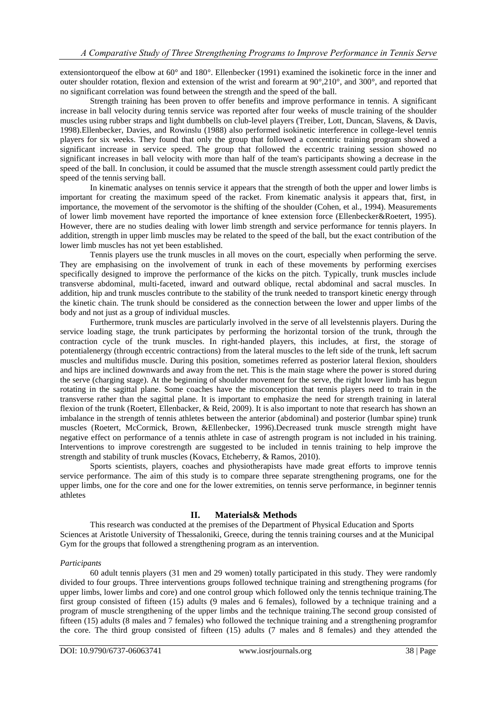extensiontorqueof the elbow at 60° and 180°. Ellenbecker (1991) examined the isokinetic force in the inner and outer shoulder rotation, flexion and extension of the wrist and forearm at 90°,210°, and 300°, and reported that no significant correlation was found between the strength and the speed of the ball.

Strength training has been proven to offer benefits and improve performance in tennis. A significant increase in ball velocity during tennis service was reported after four weeks of muscle training of the shoulder muscles using rubber straps and light dumbbells on club-level players (Treiber, Lott, Duncan, Slavens, & Davis, 1998).Ellenbecker, Davies, and Rowinslu (1988) also performed isokinetic interference in college-level tennis players for six weeks. They found that only the group that followed a concentric training program showed a significant increase in service speed. The group that followed the eccentric training session showed no significant increases in ball velocity with more than half of the team's participants showing a decrease in the speed of the ball. In conclusion, it could be assumed that the muscle strength assessment could partly predict the speed of the tennis serving ball.

In kinematic analyses on tennis service it appears that the strength of both the upper and lower limbs is important for creating the maximum speed of the racket. From kinematic analysis it appears that, first, in importance, the movement of the servomotor is the shifting of the shoulder (Cohen, et al., 1994). Measurements of lower limb movement have reported the importance of knee extension force (Ellenbecker&Roetert, 1995). However, there are no studies dealing with lower limb strength and service performance for tennis players. In addition, strength in upper limb muscles may be related to the speed of the ball, but the exact contribution of the lower limb muscles has not yet been established.

Tennis players use the trunk muscles in all moves on the court, especially when performing the serve. They are emphasising on the involvement of trunk in each of these movements by performing exercises specifically designed to improve the performance of the kicks on the pitch. Typically, trunk muscles include transverse abdominal, multi-faceted, inward and outward oblique, rectal abdominal and sacral muscles. In addition, hip and trunk muscles contribute to the stability of the trunk needed to transport kinetic energy through the kinetic chain. The trunk should be considered as the connection between the lower and upper limbs of the body and not just as a group of individual muscles.

Furthermore, trunk muscles are particularly involved in the serve of all levelstennis players. During the service loading stage, the trunk participates by performing the horizontal torsion of the trunk, through the contraction cycle of the trunk muscles. In right-handed players, this includes, at first, the storage of potentialenergy (through eccentric contractions) from the lateral muscles to the left side of the trunk, left sacrum muscles and multifidus muscle. During this position, sometimes referred as posterior lateral flexion, shoulders and hips are inclined downwards and away from the net. This is the main stage where the power is stored during the serve (charging stage). At the beginning of shoulder movement for the serve, the right lower limb has begun rotating in the sagittal plane. Some coaches have the misconception that tennis players need to train in the transverse rather than the sagittal plane. It is important to emphasize the need for strength training in lateral flexion of the trunk (Roetert, Ellenbacker, & Reid, 2009). It is also important to note that research has shown an imbalance in the strength of tennis athletes between the anterior (abdominal) and posterior (lumbar spine) trunk muscles (Roetert, McCormick, Brown, &Ellenbecker, 1996).Decreased trunk muscle strength might have negative effect on performance of a tennis athlete in case of astrength program is not included in his training. Interventions to improve corestrength are suggested to be included in tennis training to help improve the strength and stability of trunk muscles (Kovacs, Etcheberry, & Ramos, 2010).

Sports scientists, players, coaches and physiotherapists have made great efforts to improve tennis service performance. The aim of this study is to compare three separate strengthening programs, one for the upper limbs, one for the core and one for the lower extremities, on tennis serve performance, in beginner tennis athletes

# **II. Materials& Methods**

This research was conducted at the premises of the Department of Physical Education and Sports Sciences at Aristotle University of Thessaloniki, Greece, during the tennis training courses and at the Municipal Gym for the groups that followed a strengthening program as an intervention.

## *Participants*

60 adult tennis players (31 men and 29 women) totally participated in this study. They were randomly divided to four groups. Three interventions groups followed technique training and strengthening programs (for upper limbs, lower limbs and core) and one control group which followed only the tennis technique training.The first group consisted of fifteen (15) adults (9 males and 6 females), followed by a technique training and a program of muscle strengthening of the upper limbs and the technique training.The second group consisted of fifteen (15) adults (8 males and 7 females) who followed the technique training and a strengthening programfor the core. The third group consisted of fifteen (15) adults (7 males and 8 females) and they attended the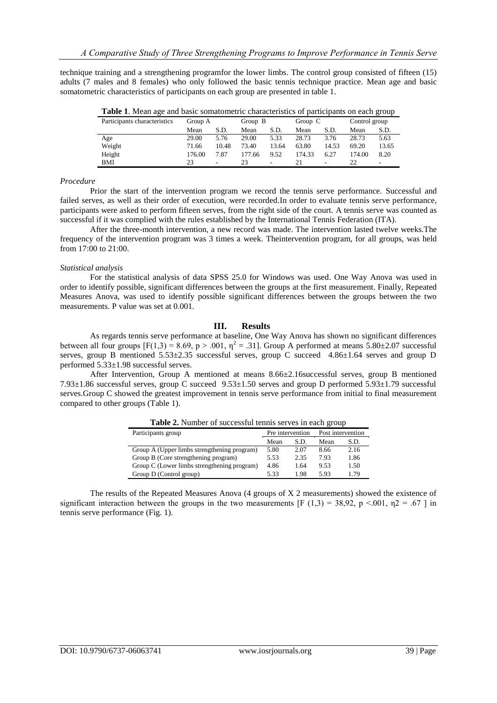technique training and a strengthening programfor the lower limbs. The control group consisted of fifteen (15) adults (7 males and 8 females) who only followed the basic tennis technique practice. Mean age and basic somatometric characteristics of participants on each group are presented in table 1.

| <b>Table 1.</b> Mean age and basic somatometric characteristics of participants on each group |         |                          |         |       |           |       |               |                          |  |  |  |
|-----------------------------------------------------------------------------------------------|---------|--------------------------|---------|-------|-----------|-------|---------------|--------------------------|--|--|--|
| Participants characteristics                                                                  | Group A |                          | Group B |       | Group $C$ |       | Control group |                          |  |  |  |
|                                                                                               | Mean    | S.D.                     | Mean    | S.D.  | Mean      | S.D.  | Mean          | S.D.                     |  |  |  |
| Age                                                                                           | 29.00   | 5.76                     | 29.00   | 5.33  | 28.73     | 3.76  | 28.73         | 5.63                     |  |  |  |
| Weight                                                                                        | 71.66   | 10.48                    | 73.40   | 13.64 | 63.80     | 14.53 | 69.20         | 13.65                    |  |  |  |
| Height                                                                                        | 176.00  | 7.87                     | 177.66  | 9.52  | 174.33    | 6.27  | 174.00        | 8.20                     |  |  |  |
| BMI                                                                                           |         | $\overline{\phantom{0}}$ | 23      |       | 21        | -     |               | $\overline{\phantom{a}}$ |  |  |  |

**Table 1**. Mean age and basic somatometric characteristics of participants on each group

#### *Procedure*

Prior the start of the intervention program we record the tennis serve performance. Successful and failed serves, as well as their order of execution, were recorded.In order to evaluate tennis serve performance, participants were asked to perform fifteen serves, from the right side of the court. A tennis serve was counted as successful if it was complied with the rules established by the International Tennis Federation (ITA).

After the three-month intervention, a new record was made. The intervention lasted twelve weeks.The frequency of the intervention program was 3 times a week. Theintervention program, for all groups, was held from 17:00 to 21:00.

#### *Statistical analysis*

For the statistical analysis of data SPSS 25.0 for Windows was used. One Way Anova was used in order to identify possible, significant differences between the groups at the first measurement. Finally, Repeated Measures Anova, was used to identify possible significant differences between the groups between the two measurements. P value was set at 0.001.

## **III. Results**

As regards tennis serve performance at baseline, One Way Anova has shown no significant differences between all four groups  $[F(1,3) = 8.69, p > .001, \eta^2 = .31]$ . Group A performed at means 5.80±2.07 successful serves, group B mentioned  $5.53\pm2.35$  successful serves, group C succeed  $4.86\pm1.64$  serves and group D performed 5.33±1.98 successful serves.

After Intervention, Group A mentioned at means 8.66±2.16successful serves, group B mentioned 7.93±1.86 successful serves, group C succeed 9.53±1.50 serves and group D performed 5.93±1.79 successful serves.Group C showed the greatest improvement in tennis serve performance from initial to final measurement compared to other groups (Table 1).

| Participants group                          | Pre intervention |      | Post intervention |      |  |
|---------------------------------------------|------------------|------|-------------------|------|--|
|                                             | Mean             | S.D. | Mean              | S.D. |  |
| Group A (Upper limbs strengthening program) | 5.80             | 2.07 | 8.66              | 2.16 |  |
| Group B (Core strengthening program)        | 5.53             | 2.35 | 7.93              | 1.86 |  |
| Group C (Lower limbs strengthening program) | 4.86             | 1.64 | 9.53              | 1.50 |  |
| Group D (Control group)                     | 5.33             | 1.98 | 5.93              | 1.79 |  |

**Table 2.** Number of successful tennis serves in each group

The results of the Repeated Measures Anova (4 groups of X 2 measurements) showed the existence of significant interaction between the groups in the two measurements [F (1,3) = 38,92, p <.001,  $\eta$ 2 = .67 ] in tennis serve performance (Fig. 1).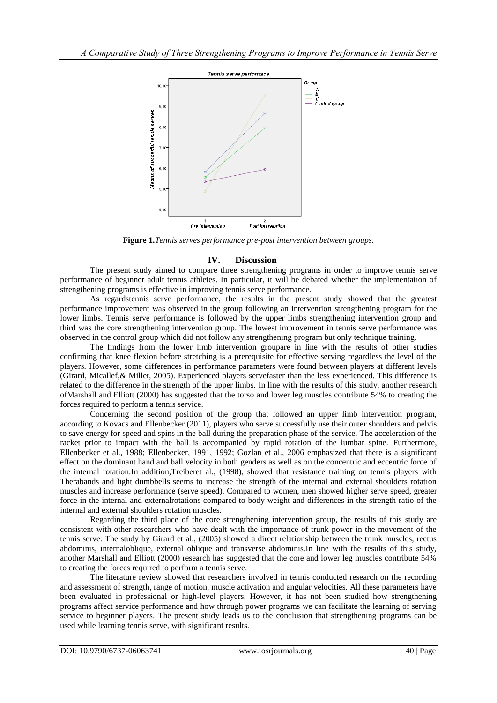

**Figure 1.***Tennis serves performance pre-post intervention between groups.*

# **IV. Discussion**

The present study aimed to compare three strengthening programs in order to improve tennis serve performance of beginner adult tennis athletes. In particular, it will be debated whether the implementation of strengthening programs is effective in improving tennis serve performance.

As regardstennis serve performance, the results in the present study showed that the greatest performance improvement was observed in the group following an intervention strengthening program for the lower limbs. Tennis serve performance is followed by the upper limbs strengthening intervention group and third was the core strengthening intervention group. The lowest improvement in tennis serve performance was observed in the control group which did not follow any strengthening program but only technique training.

The findings from the lower limb intervention groupare in line with the results of other studies confirming that knee flexion before stretching is a prerequisite for effective serving regardless the level of the players. However, some differences in performance parameters were found between players at different levels (Girard, Micallef,& Millet, 2005). Experienced players servefaster than the less experienced. This difference is related to the difference in the strength of the upper limbs. In line with the results of this study, another research ofMarshall and Elliott (2000) has suggested that the torso and lower leg muscles contribute 54% to creating the forces required to perform a tennis service.

Concerning the second position of the group that followed an upper limb intervention program, according to Kovacs and Ellenbecker (2011), players who serve successfully use their outer shoulders and pelvis to save energy for speed and spins in the ball during the preparation phase of the service. The acceleration of the racket prior to impact with the ball is accompanied by rapid rotation of the lumbar spine. Furthermore, Ellenbecker et al., 1988; Ellenbecker, 1991, 1992; Gozlan et al., 2006 emphasized that there is a significant effect on the dominant hand and ball velocity in both genders as well as on the concentric and eccentric force of the internal rotation.In addition,Treiberet al., (1998), showed that resistance training on tennis players with Therabands and light dumbbells seems to increase the strength of the internal and external shoulders rotation muscles and increase performance (serve speed). Compared to women, men showed higher serve speed, greater force in the internal and externalrotations compared to body weight and differences in the strength ratio of the internal and external shoulders rotation muscles.

Regarding the third place of the core strengthening intervention group, the results of this study are consistent with other researchers who have dealt with the importance of trunk power in the movement of the tennis serve. The study by Girard et al., (2005) showed a direct relationship between the trunk muscles, rectus abdominis, internaloblique, external oblique and transverse abdominis.In line with the results of this study, another Marshall and Elliott (2000) research has suggested that the core and lower leg muscles contribute 54% to creating the forces required to perform a tennis serve.

The literature review showed that researchers involved in tennis conducted research on the recording and assessment of strength, range of motion, muscle activation and angular velocities. All these parameters have been evaluated in professional or high-level players. However, it has not been studied how strengthening programs affect service performance and how through power programs we can facilitate the learning of serving service to beginner players. The present study leads us to the conclusion that strengthening programs can be used while learning tennis serve, with significant results.